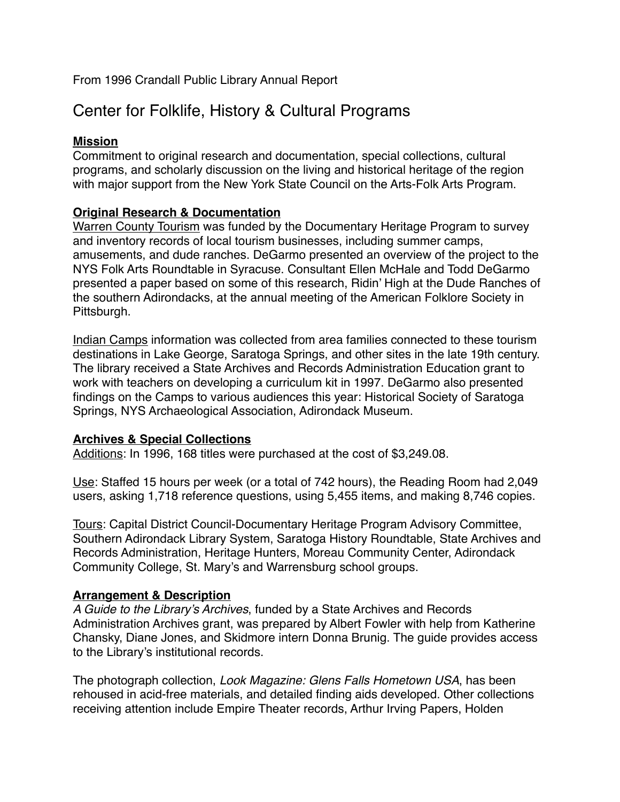From 1996 Crandall Public Library Annual Report

# Center for Folklife, History & Cultural Programs

## **Mission**

Commitment to original research and documentation, special collections, cultural programs, and scholarly discussion on the living and historical heritage of the region with major support from the New York State Council on the Arts-Folk Arts Program.

# **Original Research & Documentation**

Warren County Tourism was funded by the Documentary Heritage Program to survey and inventory records of local tourism businesses, including summer camps, amusements, and dude ranches. DeGarmo presented an overview of the project to the NYS Folk Arts Roundtable in Syracuse. Consultant Ellen McHale and Todd DeGarmo presented a paper based on some of this research, Ridin' High at the Dude Ranches of the southern Adirondacks, at the annual meeting of the American Folklore Society in Pittsburgh.

Indian Camps information was collected from area families connected to these tourism destinations in Lake George, Saratoga Springs, and other sites in the late 19th century. The library received a State Archives and Records Administration Education grant to work with teachers on developing a curriculum kit in 1997. DeGarmo also presented findings on the Camps to various audiences this year: Historical Society of Saratoga Springs, NYS Archaeological Association, Adirondack Museum.

# **Archives & Special Collections**

Additions: In 1996, 168 titles were purchased at the cost of \$3,249.08.

Use: Staffed 15 hours per week (or a total of 742 hours), the Reading Room had 2,049 users, asking 1,718 reference questions, using 5,455 items, and making 8,746 copies.

Tours: Capital District Council-Documentary Heritage Program Advisory Committee, Southern Adirondack Library System, Saratoga History Roundtable, State Archives and Records Administration, Heritage Hunters, Moreau Community Center, Adirondack Community College, St. Mary's and Warrensburg school groups.

# **Arrangement & Description**

*A Guide to the Library's Archives*, funded by a State Archives and Records Administration Archives grant, was prepared by Albert Fowler with help from Katherine Chansky, Diane Jones, and Skidmore intern Donna Brunig. The guide provides access to the Library's institutional records.

The photograph collection, *Look Magazine: Glens Falls Hometown USA*, has been rehoused in acid-free materials, and detailed finding aids developed. Other collections receiving attention include Empire Theater records, Arthur Irving Papers, Holden